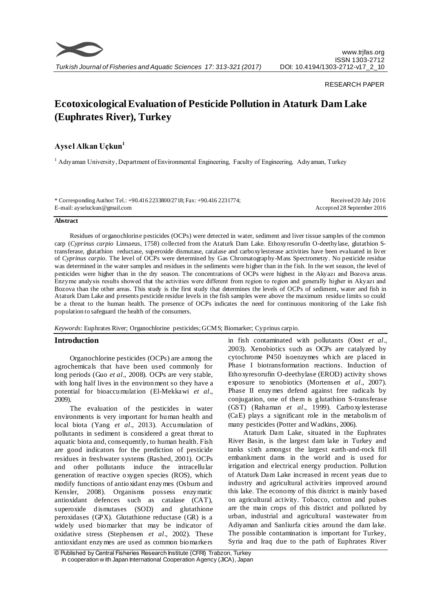

#### RESEARCH PAPER

# **Ecotoxicological Evaluation of Pesticide Pollution in Ataturk Dam Lake (Euphrates River), Turkey**

# **Aysel Alkan Uçkun<sup>1</sup>**

<sup>1</sup> Adıyaman University, Department of Environmental Engineering, Faculty of Engineering, Adıyaman, Turkey

| * Corresponding Author: Tel.: +90.416 2233800/2718; Fax: +90.416 2231774; | Received 20 July 2016      |
|---------------------------------------------------------------------------|----------------------------|
| E-mail: ay seluckun@gmail.com                                             | Accepted 28 September 2016 |

#### **Abstract**

Residues of organochlorine pesticides (OCPs) were detected in water, sediment and liver tissue samples of the common carp (*Cyprinus carpio* Linnaeus, 1758) collected from the Ataturk Dam Lake. Ethoxyresorufin O-deethylase, glutathion Stransferase, glutathion reductase, superoxide dismutase, catalase and carboxylesterase activities have been evaluated in liver of *Cyprinus carpio*. The level of OCPs were determined by Gas Chromatography-Mass Spectrometry. No pesticide residue was determined in the water samples and residues in the sediments were higher than in the fish. In the wet season, the level of pesticides were higher than in the dry season. The concentrations of OCPs were highest in the Akyazı and Bozova areas. Enzyme analysis results showed that the activities were different from region to region and generally higher in Akyazı and Bozova than the other areas. This study is the first study that determines the levels of OCPs of sediment, water and fish in Ataturk Dam Lake and presents pesticide residue levels in the fish samples were above the maximum residue limits so could be a threat to the human health. The presence of OCPs indicates the need for continuous monitoring of the Lake fish population to safeguard the health of the consumers.

#### *Keywords*: Euphrates River; Organochlorine pesticides; GCMS; Biomarker; Cyprinus carpio.

#### **Introduction**

Organochlorine pesticides (OCPs) are among the agrochemicals that have been used commonly for long periods (Guo *et al*., 2008). OCPs are very stable, with long half lives in the environment so they have a potential for bioaccumulation (El-Mekkawi *et al*., 2009).

The evaluation of the pesticides in water environments is very important for human health and local biota (Yang *et al*., 2013). Accumulation of pollutants in sediment is considered a great threat to aquatic biota and, consequently, to human health. Fish are good indicators for the prediction of pesticide residues in freshwater systems (Rashed, 2001). OCPs and other pollutants induce the intracellular generation of reactive oxygen species (ROS), which modify functions of antioxidant enzymes (Osburn and Kensler, 2008). Organisms possess enzymatic antioxidant defences such as catalase (CAT), superoxide dismutases (SOD) and glutathione peroxidases (GPX). Glutathione reductase (GR) is a widely used biomarker that may be indicator of oxidative stress (Stephensen *et al*., 2002). These antioxidant enzymes are used as common biomarkers

in fish contaminated with pollutants (Oost *et al*., 2003). Xenobiotics such as OCPs are catalyzed by cytochrome P450 isoenzymes which are placed in Phase I biotransformation reactions. Induction of Ethoxyresorufin O-deethylase (EROD) activity shows exposure to xenobiotics (Mortensen *et al*., 2007). Phase II enzymes defend against free radicals by conjugation, one of them is glutathion S-transferase (GST) (Rahaman *et al*., 1999). Carboxylesterase (CaE) plays a significant role in the metabolis m of many pesticides (Potter and Wadkins, 2006).

Ataturk Dam Lake, situated in the Euphrates River Basin, is the largest dam lake in Turkey and ranks sixth amongst the largest earth-and-rock fill embankment dams in the world and is used for irrigation and electrical energy production. Pollution of Ataturk Dam Lake increased in recent years due to industry and agricultural activities improved around this lake. The economy of this district is mainly based on agricultural activity. Tobacco, cotton and pulses are the main crops of this district and polluted by urban, industrial and agricultural wastewater from Adiyaman and Sanliurfa cities around the dam lake. The possible contamination is important for Turkey, Syria and Iraq due to the path of Euphrates River

<sup>©</sup> Published by Central Fisheries Research Institute (CFRI) Trabzon, Turkey in cooperation w ith Japan International Cooperation Agency (JICA), Japan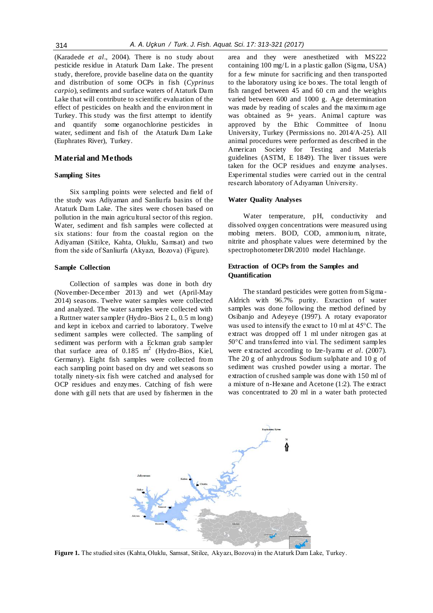(Karadede *et al*., 2004). There is no study about pesticide residue in Ataturk Dam Lake. The present study, therefore, provide baseline data on the quantity and distribution of some OCPs in fish (*Cyprinus carpio*), sediments and surface waters of Ataturk Dam Lake that will contribute to scientific evaluation of the effect of pesticides on health and the environment in Turkey. This study was the first attempt to identify and quantify some organochlorine pesticides in water, sediment and fish of the Ataturk Dam Lake (Euphrates River), Turkey.

#### **Material and Methods**

#### **Sampling Sites**

Six sampling points were selected and field of the study was Adiyaman and Sanliurfa basins of the Ataturk Dam Lake. The sites were chosen based on pollution in the main agricultural sector of this region. Water, sediment and fish samples were collected at six stations: four from the coastal region on the Adiyaman (Sitilce, Kahta, Oluklu, Samsat) and two from the side of Sanliurfa (Akyazı, Bozova) (Figure).

#### **Sample Collection**

Collection of samples was done in both dry (November-December 2013) and wet (April-May 2014) seasons. Twelve water samples were collected and analyzed. The water samples were collected with a Ruttner water sampler (Hydro-Bios 2 L, 0.5 m long) and kept in icebox and carried to laboratory. Twelve sediment samples were collected. The sampling of sediment was perform with a Eckman grab sampler that surface area of 0.185  $m^2$  (Hydro-Bios, Kiel, Germany). Eight fish samples were collected from each sampling point based on dry and wet seasons so totally ninety-six fish were catched and analysed for OCP residues and enzymes. Catching of fish were done with gill nets that are used by fishermen in the

area and they were anesthetized with MS222 containing 100 mg/L in a plastic gallon (Sigma, USA) for a few minute for sacrificing and then transported to the laboratory using ice boxes. The total length of fish ranged between 45 and 60 cm and the weights varied between 600 and 1000 g. Age determination was made by reading of scales and the maximum age was obtained as 9+ years. Animal capture was approved by the Ethic Committee of Inonu University, Turkey (Permissions no. 2014/A-25). All animal procedures were performed as described in the American Society for Testing and Materials guidelines  $(ASTM, E 1849)$ . The liver tissues were taken for the OCP residues and enzyme analyses. Experimental studies were carried out in the central research laboratory of Adıyaman University.

#### **Water Quality Analyses**

Water temperature, pH, conductivity and dissolved oxygen concentrations were measured using mobing meters. BOD, COD, ammonium, nitrate, nitrite and phosphate values were determined by the spectrophotometer DR/2010 model Hachlange.

### **Extraction of OCPs from the Samples and Quantification**

The standard pesticides were gotten from Sigma - Aldrich with 96.7% purity. Exraction of water samples was done following the method defined by Osibanjo and Adeyeye (1997). A rotary evaporator was used to intensify the exract to 10 ml at 45°C. The extract was dropped off 1 ml under nitrogen gas at 50°C and transferred into vial. The sediment samples were extracted according to Ize-Iyamu *et al*. (2007). The 20 g of anhydrous Sodium sulphate and 10 g of sediment was crushed powder using a mortar. The extraction of crushed sample was done with 150 ml of a mixture of n-Hexane and Acetone (1:2). The extract was concentrated to 20 ml in a water bath protected



**Figure 1.** The studied sites (Kahta, Oluklu, Samsat, Sitilce, Akyazı, Bozova) in the Ataturk Dam Lake, Turkey.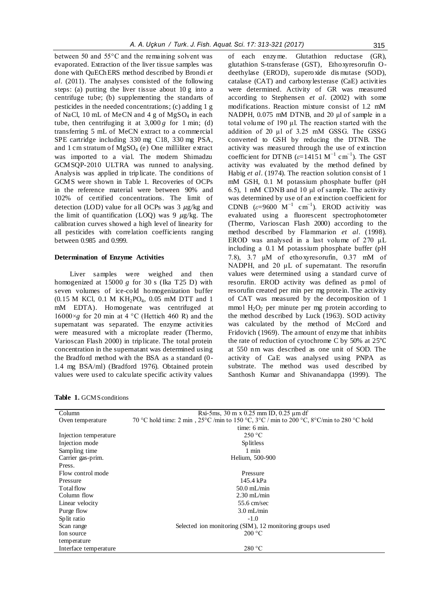between 50 and 55°C and the remaining solvent was evaporated. Extraction of the liver tissue samples was done with QuEChERS method described by Brondi *et al*. (2011). The analyses consisted of the following steps: (a) putting the liver tissue about 10 g into a centrifuge tube; (b) supplementing the standarts of pesticides in the needed concentrations; (c) adding 1 g of NaCl, 10 mL of MeCN and 4 g of MgSO<sub>4</sub> in each tube, then centrifuging it at  $3,000 g$  for 1 min; (d) transferring 5 mL of MeCN extract to a commercial SPE cartridge including 330 mg C18, 330 mg PSA, and 1 cm stratum of MgSO<sub>4</sub> (e) One milliliter extract was imported to a vial. The modern Shimadzu GCMSQP-2010 ULTRA was runned to analysing. Analysis was applied in triplicate. The conditions of GCMS were shown in Table 1. Recoveries of OCPs in the reference material were between 90% and 102% of certified concentrations. The limit of detection (LOD) value for all OCPs was  $3 \mu g/kg$  and the limit of quantification (LOQ) was 9  $\mu$ g/kg. The calibration curves showed a high level of linearity for all pesticides with correlation coefficients ranging between 0.985 and 0.999.

#### **Determination of Enzyme Activities**

Liver samples were weighed and then homogenized at 15000 *g* for 30 s (Ika T25 D) with seven volumes of ice-cold homogenization buffer (0.15 M KCl, 0.1 M KH<sub>2</sub>PO<sub>4</sub>, 0.05 mM DTT and 1 mM EDTA). Homogenate was centrifuged at  $16000\times g$  for 20 min at 4 °C (Hettich 460 R) and the supernatant was separated. The enzyme activities were measured with a microplate reader (Thermo, Varioscan Flash 2000) in triplicate. The total protein concentration in the supernatant was determined using the Bradford method with the BSA as a standard (0- 1.4 mg BSA/ml) (Bradford 1976). Obtained protein values were used to calculate specific activity values of each enzyme. Glutathion reductase (GR), glutathion S-transferase (GST), Ethoxyresorufin Odeethylase (EROD), superoxide dis mutase (SOD), catalase (CAT) and carboxylesterase (CaE) activities were determined. Activity of GR was measured according to Stephensen *et al*. (2002) with some modifications. Reaction mixture consist of 1.2 mM NADPH, 0.075 mM DTNB, and 20 μl of sample in a total volume of 190 μl. The reaction started with the addition of 20 μl of 3.25 mM GSSG. The GSSG converted to GSH by reducing the DTNB. The activity was measured through the use of extinction coefficient for DTNB  $(\varepsilon=14151 \text{ M}^{-1} \text{ cm}^{-1})$ . The GST activity was evaluated by the method defined by Habig *et al*. (1974). The reaction solution consist of 1 mM GSH, 0.1 M potassium phosphate buffer (pH 6.5), 1 mM CDNB and 10 μl of sample. The activity was determined by use of an extinction coefficient for CDNB  $(\varepsilon=9600 \text{ M}^{-1} \text{ cm}^{-1})$ . EROD activitiy was evaluated using a fluorescent spectrophotometer (Thermo, Varioscan Flash 2000) according to the method described by Flammarion *et al*. (1998). EROD was analysed in a last volume of 270 μL including a 0.1 M potassium phosphate buffer (pH 7.8), 3.7 μM of ethoxyresorufin, 0.37 mM of NADPH, and 20 μL of supernatant. The resorufin values were determined using a standard curve of resorufin. EROD activity was defined as pmol of resorufin created per min per mg protein. The activity of CAT was measured by the decomposition of 1 mmol  $H_2O_2$  per minute per mg protein according to the method described by Luck (1963). SOD activity was calculated by the method of McCord and Fridovich (1969). The amount of enzyme that inhibits the rate of reduction of cytochrome C by 50% at 25℃ at 550 nm was described as one unit of SOD. The activity of CaE was analysed using PNPA as substrate. The method was used described by Santhosh Kumar and Shivanandappa (1999). The

**Table 1.** GCMS conditions

| Column                | Rxi-5ms, $30 \text{ m} \times 0.25 \text{ mm}$ ID, $0.25 \text{ µm}$ df                                                |  |  |  |  |  |  |  |  |
|-----------------------|------------------------------------------------------------------------------------------------------------------------|--|--|--|--|--|--|--|--|
| Oven temperature      | 70 °C hold time: 2 min, $25^{\circ}$ C /min to 150 °C, $3^{\circ}$ C / min to 200 °C, $8^{\circ}$ C/min to 280 °C hold |  |  |  |  |  |  |  |  |
|                       | time: 6 min.                                                                                                           |  |  |  |  |  |  |  |  |
| Injection temperature | 250 °C                                                                                                                 |  |  |  |  |  |  |  |  |
| Injection mode        | <b>Splitless</b>                                                                                                       |  |  |  |  |  |  |  |  |
| Sampling time         | $1$ min                                                                                                                |  |  |  |  |  |  |  |  |
| Carrier gas-prim.     | Helium, 500-900                                                                                                        |  |  |  |  |  |  |  |  |
| Press.                |                                                                                                                        |  |  |  |  |  |  |  |  |
| Flow control mode     | Pressure                                                                                                               |  |  |  |  |  |  |  |  |
| Pressure              | 145.4 kPa                                                                                                              |  |  |  |  |  |  |  |  |
| Total flow            | $50.0$ mL/min                                                                                                          |  |  |  |  |  |  |  |  |
| Column flow           | $2.30 \text{ mL/min}$                                                                                                  |  |  |  |  |  |  |  |  |
| Linear velocity       | $55.6$ cm/sec                                                                                                          |  |  |  |  |  |  |  |  |
| Purge flow            | $3.0$ mL/min                                                                                                           |  |  |  |  |  |  |  |  |
| Split ratio           | $-1.0$                                                                                                                 |  |  |  |  |  |  |  |  |
| Scan range            | Selected ion monitoring (SIM), 12 monitoring groups used                                                               |  |  |  |  |  |  |  |  |
| Ion source            | 200 °C                                                                                                                 |  |  |  |  |  |  |  |  |
| temperature           |                                                                                                                        |  |  |  |  |  |  |  |  |
| Interface temperature | 280 °C                                                                                                                 |  |  |  |  |  |  |  |  |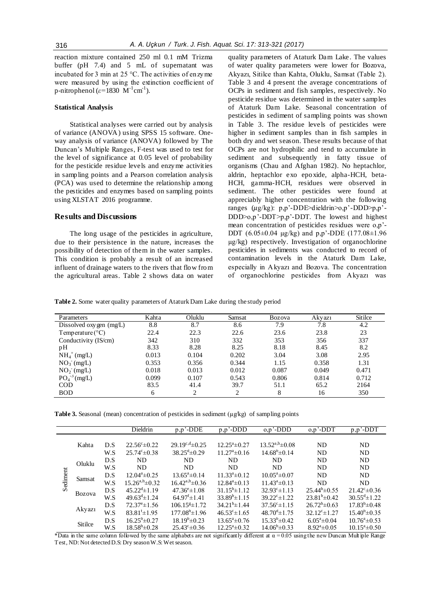reaction mixture contained 250 ml 0.1 mM Trizma buffer (pH 7.4) and 5 mL of supernatant was incubated for 3 min at 25 °C. The activities of enzyme were measured by using the extinction coefficient of p-nitrophenol ( $\varepsilon$ =1830  $\text{M}$ <sup>-1</sup>cm<sup>-1</sup>).

#### **Statistical Analysis**

Statistical analyses were carried out by analysis of variance (ANOVA) using SPSS 15 software. Oneway analysis of variance (ANOVA) followed by The Duncan's Multiple Ranges, F-test was used to test for the level of significance at 0.05 level of probability for the pesticide residue levels and enzyme activities in sampling points and a Pearson correlation analysis (PCA) was used to determine the relationship among the pesticides and enzymes based on sampling points using XLSTAT 2016 programme.

#### **Results and Discussions**

The long usage of the pesticides in agriculture, due to their persistence in the nature, increases the possibility of detection of them in the water samples. This condition is probably a result of an increased influent of drainage waters to the rivers that flow from the agricultural areas. Table 2 shows data on water

quality parameters of Ataturk Dam Lake. The values of water quality parameters were lower for Bozova, Akyazı, Sitilce than Kahta, Oluklu, Samsat (Table 2). Table 3 and 4 present the average concentrations of OCPs in sediment and fish samples, respectively. No pesticide residue was determined in the water samples of Ataturk Dam Lake. Seasonal concentration of pesticides in sediment of sampling points was shown in Table 3. The residue levels of pesticides were higher in sediment samples than in fish samples in both dry and wet season. These results because of that OCPs are not hydrophilic and tend to accumulate in sediment and subsequently in fatty tissue of organisms (Chau and Afghan 1982). No heptachlor, aldrin, heptachlor exo epoxide, alpha-HCH, beta-HCH, gamma-HCH, residues were observed in sediment. The other pesticides were found at appreciably higher concentration with the following ranges  $(\mu g/kg)$ : p,p'-DDE>dieldrin>o,p'-DDD>p,p'-DDD>o,p'-DDT>p,p'-DDT. The lowest and highest mean concentration of pesticides residues were o,p'- DDT (6.05±0.04 µg/kg) and p,p'-DDE (177.08±1.96 µg/kg) respectively. Investigation of organochlorine pesticides in sediments was conducted to record of contamination levels in the Ataturk Dam Lake, especially in Akyazı and Bozova. The concentration of organochlorine pesticides from Akyazı was

**Table 2.** Some water quality parameters of Ataturk Dam Lake during the study period

| Parameters                | Kahta | Oluklu                        | Samsat         | Bozova | Akyazı | Sitilce |
|---------------------------|-------|-------------------------------|----------------|--------|--------|---------|
| Dissolved oxygen (mg/L)   | 8.8   | 8.7                           | 8.6            | 7.9    | 7.8    | 4.2     |
| Temperature $(^{\circ}C)$ | 22.4  | 22.3                          | 22.6           | 23.6   | 23.8   | 23      |
| Conductivity (IS/cm)      | 342   | 310                           | 332            | 353    | 356    | 337     |
| pН                        | 8.33  | 8.28                          | 8.25           | 8.18   | 8.45   | 8.2     |
| $NH_4^+$ (mg/L)           | 0.013 | 0.104                         | 0.202          | 3.04   | 3.08   | 2.95    |
| $NO_3$ (mg/L)             | 0.353 | 0.356                         | 0.344          | 1.15   | 0.358  | 1.31    |
| $NO2$ (mg/L)              | 0.018 | 0.013                         | 0.012          | 0.087  | 0.049  | 0.471   |
| $PO_4^{-3}$ (mg/L)        | 0.099 | 0.107                         | 0.543          | 0.806  | 0.814  | 0.712   |
| <b>COD</b>                | 83.5  | 41.4                          | 39.7           | 51.1   | 65.2   | 2164    |
| <b>BOD</b>                | 6     | $\mathfrak{D}_{\mathfrak{p}}$ | $\overline{c}$ | 8      | 16     | 350     |

| <b>Table 3.</b> Seasonal (mean) concentration of pesticides in sediment ( $\mu g / kg$ ) of sampling points |  |  |  |  |  |
|-------------------------------------------------------------------------------------------------------------|--|--|--|--|--|
|-------------------------------------------------------------------------------------------------------------|--|--|--|--|--|

|                                                         |       |                             | Dieldrin                         | $p, p'$ -DDE<br>$p, p'$ - $\overline{DDD}$ |                          | $o, p'$ -DDD               | $o, p'$ -DDT                | $p, p'$ -DDT             |
|---------------------------------------------------------|-------|-----------------------------|----------------------------------|--------------------------------------------|--------------------------|----------------------------|-----------------------------|--------------------------|
|                                                         |       |                             |                                  |                                            |                          |                            |                             |                          |
|                                                         | Kahta | D.S                         | $22.56^{\circ} \pm 0.22$         | $29.19^{c,d} \pm 0.25$                     | $12.25^a \pm 0.27$       | $13.52^{a,b} \pm 0.08$     | <b>ND</b>                   | ND                       |
|                                                         |       | W.S                         | $25.74^{\circ} \pm 0.38$         | $38.25^{\text{d}} \pm 0.29$                | $11.27^{\circ} \pm 0.16$ | $14.68^{\rm b} \pm 0.14$   | <b>ND</b>                   | ND                       |
|                                                         |       | D.S                         | <b>ND</b>                        | <b>ND</b>                                  | <b>ND</b>                | <b>ND</b>                  | <b>ND</b>                   | ND                       |
| Oluklu<br>Sediment<br>Samsat<br><b>Bozova</b><br>Akyazı | W.S   | ND.                         | <b>ND</b>                        | <b>ND</b>                                  | <b>ND</b>                | ND.                        | <b>ND</b>                   |                          |
|                                                         |       | D.S                         | $12.04^a \pm 0.25$               | $13.65^{\circ} \pm 0.14$                   | $11.33^a \pm 0.12$       | $10.05^{\circ}$ ± 0.07     | <b>ND</b>                   | <b>ND</b>                |
|                                                         |       | W.S                         | $15.26^{a,b} \pm 0.32$           | $16.42^{a,b} \pm 0.36$                     | $12.84^a \pm 0.13$       | $11.43^a \pm 0.13$         | <b>ND</b>                   | <b>ND</b>                |
|                                                         | D.S   | $45.22^{d} \pm 1.19$        | $47.36^{\circ} \pm 1.08$         | $31.15^b \pm 1.12$                         | $32.93^{\circ}$ ± 1 13   | $25.44^b \pm 0.55$         | $21.42^{\circ} \pm 0.36$    |                          |
|                                                         | W.S   | $49.63^{\text{d}} \pm 1.24$ | $64.97^{\mathrm{f}} \pm 1.41$    | $33.89^b \pm 1.15$                         | $39.22^{\circ}$ ±1.22    | $23.81^b \pm 0.42$         | $30.55^{\text{d}} \pm 1.22$ |                          |
|                                                         | D.S   | $72.37^{\circ}$ ± 1.56      | $106.15$ <sup>g</sup> $\pm$ 1.72 | $34.21^{b} \pm 1.44$                       | $37.56^{\circ} \pm 1.15$ | $26.72^b \pm 0.63$         | $17.83^b \pm 0.48$          |                          |
|                                                         | W.S   | $83.81^{\text{f}} \pm 1.95$ | $177.08^{\text{h}} \pm 1.96$     | $46.53^{\circ} \pm 1.65$                   | $48.70^{d} \pm 1.75$     | $32.12^{\circ} \pm 1.27$   | $15.40^{b} \pm 0.35$        |                          |
|                                                         |       | D.S                         | $16.25^{\rm b} \pm 0.27$         | $18.19^{b} \pm 0.23$                       | $13.65^{\circ} \pm 0.76$ | $15.33^{b} \pm 0.42$       | $6.05^a \pm 0.04$           | $10.76^{\circ} \pm 0.53$ |
| Sitilce                                                 | W.S   | $18.58^{b} \pm 0.28$        | $25.43^{\circ} \pm 0.36$         | $12.25^{\circ} \pm 0.32$                   | $14.06^{\circ} \pm 0.33$ | $8.92^{\mathrm{a}}\pm0.05$ | $10.15^{\circ}$ ± 0.50      |                          |

\*Data in the same column followed by the same alphabets are not significantly different at  $\alpha = 0.05$  using the new Duncan Mult iple Range Test, ND: Not detected D.S: Dry season W.S: Wet season.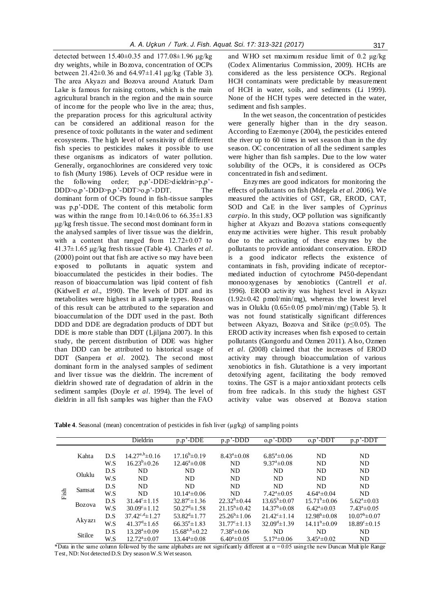detected between  $15.40 \pm 0.35$  and  $177.08 \pm 1.96$  μg/kg dry weights, while in Bozova, concentration of OCPs between  $21.42 \pm 0.36$  and  $64.97 \pm 1.41$  μg/kg (Table 3). The area Akyazı and Bozova around Ataturk Dam Lake is famous for raising cottons, which is the main agricultural branch in the region and the main source of income for the people who live in the area; thus, the preparation process for this agricultural activity can be considered an additional reason for the presence of toxic pollutants in the water and sediment ecosystems. The high level of sensitivity of different fish species to pesticides makes it possible to use these organisms as indicators of water pollution. Generally, organochlorines are considered very toxic to fish (Murty 1986). Levels of OCP residue were in the following order; p,p'-DDE>dieldrin>p,p'- DDD $>0, p'$ -DDD $>0, p'$ -DDT $>0, p'$ -DDT. The dominant form of OCPs found in fish-tissue samples was p,p'-DDE. The content of this metabolic form was within the range from  $10.14\pm0.06$  to  $66.35\pm1.83$ µg/kg fresh tissue. The second most dominant form in the analysed samples of liver tissue was the dieldrin, with a content that ranged from  $12.72\pm0.07$  to 41.37±1.65 µg/kg fresh tissue (Table 4). Charles *et al*. (2000) point out that fish are active so may have been exposed to pollutants in aquatic system and bioaccumulated the pesticides in their bodies. The reason of bioaccumulation was lipid content of fish (Kidwell *et al*., 1990). The levels of DDT and its metabolites were highest in all sample types. Reason of this result can be attributed to the separation and bioaccumulation of the DDT used in the past. Both DDD and DDE are degradation products of DDT but DDE is more stable than DDT (Ljiljana 2007). In this study, the percent distribution of DDE was higher than DDD can be attributed to historical usage of DDT (Sanpera *et al*. 2002). The second most dominant form in the analysed samples of sediment and liver tissue was the dieldrin. The increment of dieldrin showed rate of degradation of aldrin in the sediment samples (Doyle *et al*. 1994). The level of dieldrin in all fish samples was higher than the FAO

and WHO set maximum residue limit of 0.2 μg/kg (Codex Alimentarius Commission, 2009). HCHs are considered as the less persistence OCPs. Regional HCH contaminats were predictable by measurement of HCH in water, soils, and sediments (Li 1999). None of the HCH types were detected in the water, sediment and fish samples.

In the wet season, the concentration of pesticides were generally higher than in the dry season. According to Ezemonye (2004), the pesticides entered the river up to 60 times in wet season than in the dry season. OC concentration of all the sediment samples were higher than fish samples. Due to the low water solubility of the OCPs, it is considered as OCPs concentrated in fish and sediment.

Enzymes are good indicators for monitoring the effects of pollutants on fish (Mdegela *et al*. 2006). We measured the activities of GST, GR, EROD, CAT, SOD and CaE in the liver samples of *Cyprinus carpio*. In this study, OCP pollution was significantly higher at Akyazı and Bozova stations consequently enzyme activities were higher. This result probably due to the activating of these enzymes by the pollutants to provide antioxidant conservation. EROD is a good indicator reflects the existence of contaminats in fish, providing indicate of receptormediated induction of cytochrome P450-dependant monooxygenases by xenobiotics (Cantrell *et al*. 1996). EROD activity was highest level in Akyazı  $(1.92\pm0.42 \text{ pmol/min/mg})$ , whereas the lowest level was in Oluklu  $(0.65\pm0.05 \text{ pmol/min/mg})$  (Table 5). It was not found statistically significant differences between Akyazı, Bozova and Sitilce ( $p \le 0.05$ ). The EROD activity increases when fish exposed to certain pollutants (Gungordu and Ozmen 2011). Also, Ozmen *et al*. (2008) claimed that the increases of EROD activity may through bioaccumulation of various xenobiotics in fish. Glutathione is a very important detoxifying agent, facilitating the body removed toxins. The GST is a major antioxidant protects cells from free radicals. In this study the highest GST activity value was observed at Bozova station

Table 4. Seasonal (mean) concentration of pesticides in fish liver (µg/kg) of sampling points

|        |         |                          | Dieldrin                      | $p, p$ <sup><math>\overline{\cdot</math>-DDE</sup> | $p, p$ <sup><math>\overline{\cdot</math></sup> -DDD | $0, p'$ -DDD                | $0, p'$ -DDT                 | $p, p$ <sup><math>\overline{\cdot</math></sup> -DDT |
|--------|---------|--------------------------|-------------------------------|----------------------------------------------------|-----------------------------------------------------|-----------------------------|------------------------------|-----------------------------------------------------|
|        |         |                          |                               |                                                    |                                                     |                             |                              |                                                     |
|        | Kahta   | D.S                      | $14.27^{a,b} \pm 0.16$        | $17.16^{\rm b} \pm 0.19$                           | $8.43^a \pm 0.08$                                   | $6.85^{\circ}$ ± 0.06       | <b>ND</b>                    | ND                                                  |
|        |         | W.S                      | $16.23^{b} \pm 0.26$          | $12.46^{\circ} \pm 0.08$                           | <b>ND</b>                                           | $9.37^{\circ}$ ± 0.08       | ND                           | <b>ND</b>                                           |
|        |         | D.S                      | ND                            | <b>ND</b>                                          | ND                                                  | <b>ND</b>                   | <b>ND</b>                    | <b>ND</b>                                           |
| Oluklu | W.S     | ND                       | ND                            | <b>ND</b>                                          | <b>ND</b>                                           | <b>ND</b>                   | ND                           |                                                     |
|        |         | D.S                      | ND.                           | ND.                                                | <b>ND</b>                                           | ND.                         | ND.                          | <b>ND</b>                                           |
| Fish   | Samsat  | W.S                      | ND.                           | $10.14^a \pm 0.06$                                 | <b>ND</b>                                           | $7.42^{\circ} \pm 0.05$     | $4.64^a \pm 0.04$            | <b>ND</b>                                           |
| Bozova | D.S     | $31.44^{\circ} \pm 1.15$ | $32.87^{\circ}$ ± 1.36        | $22.32^b \pm 0.44$                                 | $13.65^{\rm b} \pm 0.07$                            | $15.71^{\rm b} \pm 0.06$    | $5.62^{\mathrm{a}} \pm 0.03$ |                                                     |
|        | W.S     | $30.09^{\circ}$ ±1.12    | $50.27^{\text{d}} \pm 1.58$   | $21.15^b \pm 0.42$                                 | $14.37^{\rm b} \pm 0.08$                            | $6.42^{\mathrm{a}}\pm0.03$  | $7.43^a \pm 0.05$            |                                                     |
|        |         | D.S                      | $37.42^{\text{c,d}} \pm 1.27$ | $53.82^{d} \pm 1.77$                               | $25.26^{\rm b} \pm 1.06$                            | $21.42^{\circ} \pm 1.14$    | $12.98^{\rm b} \pm 0.08$     | $10.07^{\rm b} \pm 0.07$                            |
|        | Akyazı  | W.S                      | $41.37^{\mathrm{d}} \pm 1.65$ | $66.35^{\circ}$ ± 1.83                             | $31.77^{\circ} \pm 1.13$                            | $32.09^{\text{d}} \pm 1.39$ | $14.11^{b} \pm 0.09$         | $18.89^{\circ} \pm 0.15$                            |
|        |         | D.S                      | $13.28^a \pm 0.09$            | $15.68^{a,b} \pm 0.22$                             | $7.38^a \pm 0.06$                                   | <b>ND</b>                   | <b>ND</b>                    | <b>ND</b>                                           |
|        | Sitilce | W.S                      | $12.72^{\mathrm{a}}\pm 0.07$  | $13.44^a \pm 0.08$                                 | $6.40^a \pm 0.05$                                   | $5.17^{\circ} \pm 0.06$     | $3.45^a \pm 0.02$            | <b>ND</b>                                           |

\*Data in the same column followed by the same alphabets are not significantly different at  $\alpha = 0.05$  using the new Duncan Mult iple Range Test, ND: Not detected D.S: Dry season W.S: Wet season.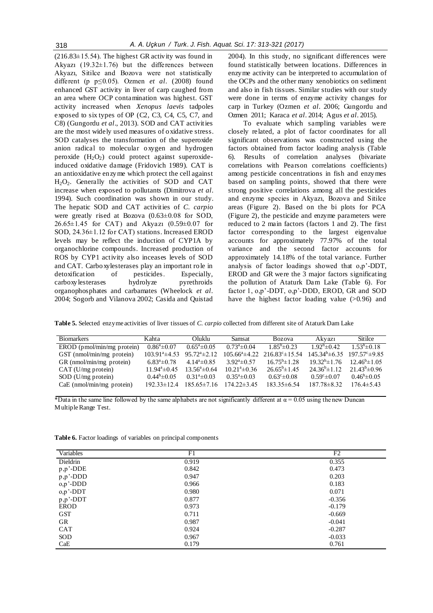$(216.83\pm15.54)$ . The highest GR activity was found in Akyazı (19.32±1.76) but the differences between Akyazı, Sitilce and Bozova were not statistically different (p p≤0.05). Ozmen *et al*. (2008) found enhanced GST activity in liver of carp caughed from an area where OCP contamination was highest. GST activity increased when *Xenopus laevis* tadpoles exposed to six types of OP (C2, C3, C4, C5, C7, and C8) (Gungordu *et al*., 2013). SOD and CAT activities are the most widely used measures of oxidative stress. SOD catalyses the transformation of the superoxide anion radical to molecular oxygen and hydrogen peroxide  $(H_2O_2)$  could protect against superoxideinduced oxidative damage (Fridovich 1989). CAT is an antioxidative enzyme which protect the cell against  $H_2O_2$ . Generally the activities of SOD and CAT increase when exposed to pollutants (Dimitrova *et al*. 1994). Such coordination was shown in our study. The hepatic SOD and CAT activities of *C. carpio*  were greatly rised at Bozova (0.63±0.08 for SOD, 26.65±1.45 for CAT) and Akyazı (0.59±0.07 for SOD, 24.36±1.12 for CAT) stations. Increased EROD levels may be reflect the induction of CYP1A by organochlorine compounds. Increased production of ROS by CYP1 activity also inceases levels of SOD and CAT. Carboxylesterases play an important role in detoxification of pesticides. Especially,<br>carboxylesterases hydrolyze pyrethroids carboxy lesterases hydrolyze organophosphates and carbamates (Wheelock *et al*. 2004; Sogorb and Vilanova 2002; Casida and Quistad 2004). In this study, no significant differences were found statistically between locations. Differences in enzyme activity can be interpreted to accumulation of the OCPs and the other many xenobiotics on sediment and also in fish tissues. Similar studies with our study were done in terms of enzyme activity changes for carp in Turkey (Ozmen *et al*. 2006; Gungordu and Ozmen 2011; Karaca *et al*. 2014; Agus *et al*. 2015).

To evaluate which sampling variables were closely related, a plot of factor coordinates for all significant observations was constructed using the factors obtained from factor loading analysis (Table 6). Results of correlation analyses (bivariate correlations with Pearson correlations coefficients) among pesticide concentrations in fish and enzymes based on sampling points, showed that there were strong positive correlations among all the pesticides and enzyme species in Akyazı, Bozova and Sitilce areas (Figure 2). Based on the bi plots for PCA (Figure 2), the pesticide and enzyme parameters were reduced to 2 main factors (factors 1 and 2). The first factor corresponding to the largest eigenvalue accounts for approximately 77.97% of the total variance and the second factor accounts for approximately 14.18% of the total variance. Further analysis of factor loadings showed that o,p'-DDT, EROD and GR were the 3 major factors significating the pollution of Ataturk Dam Lake (Table 6). For factor 1, o,p'-DDT, o,p'-DDD, EROD, GR and SOD have the highest factor loading value  $(>0.96)$  and

**Table 5.** Selected enzyme activities of liver tissues of *C. carpio* collected from different site of Ataturk Dam Lake

| <b>Biomarkers</b>            | Kahta                   | Oluklu.                  | Samsat                 | <b>Bozova</b>              | Akvazi                   | Sitilce                                 |
|------------------------------|-------------------------|--------------------------|------------------------|----------------------------|--------------------------|-----------------------------------------|
| $EROD$ (pmol/min/mg protein) | $0.86^a \pm 0.07$       | $0.65^a \pm 0.05$        | $0.73^a \pm 0.04$      | $1.85^b \pm 0.23$          | $1.92^b \pm 0.42$        | $1.53^b \pm 0.18$                       |
| GST (nmol/min/mg protein)    | $103.91^{\circ}$ ±4.53  | $95.72^{\circ} \pm 2.12$ | $105.66^{\circ}$ ±4.22 | $216.83^{\circ} \pm 15.54$ |                          | $145.34^b \pm 6.35$ $197.57^c \pm 9.85$ |
| GR (nmol/min/mg protein)     | $6.83^{\circ} \pm 0.78$ | $4.14^a \pm 0.85$        | $3.92^a \pm 0.57$      | $16.75^{\rm b} \pm 1.28$   | $19.32^b \pm 1.76$       | $12.46^{\circ}$ ± 1.05                  |
| $CAT(U/mg)$ protein)         | $11.94^a \pm 0.45$      | $13.56^a \pm 0.64$       | $10.21^a \pm 0.36$     | $26.65^{\circ}$ ± 1.45     | $24.36^{\circ} \pm 1.12$ | $21.43^b \pm 0.96$                      |
| $SOD$ (U/mg protein)         | $0.44^b \pm 0.05$       | $0.31^a \pm 0.03$        | $0.35^a \pm 0.03$      | $0.63^{\circ} \pm 0.08$    | $0.59^{\circ} \pm 0.07$  | $0.46^b \pm 0.05$                       |
| $CaE$ (nmol/min/mg protein)  | $192.33 \pm 12.4$       | $185.65 \pm 7.16$        | $174.22 \pm 3.45$      | $183.35 \pm 6.54$          | $187.78 \pm 8.32$        | $176.4 \pm 5.43$                        |

\*Data in the same line followed by the same alphabets are not significantly different at  $\alpha$  = 0.05 using the new Duncan Multiple Range Test.

| F1    | F <sub>2</sub> |
|-------|----------------|
| 0.919 | 0.355          |
| 0.842 | 0.473          |
| 0.947 | 0.203          |
| 0.966 | 0.183          |
| 0.980 | 0.071          |
| 0.877 | $-0.356$       |
| 0.973 | $-0.179$       |
| 0.711 | $-0.669$       |
| 0.987 | $-0.041$       |
| 0.924 | $-0.287$       |
| 0.967 | $-0.033$       |
| 0.179 | 0.761          |
|       |                |

**Table 6.** Factor loadings of variables on principal components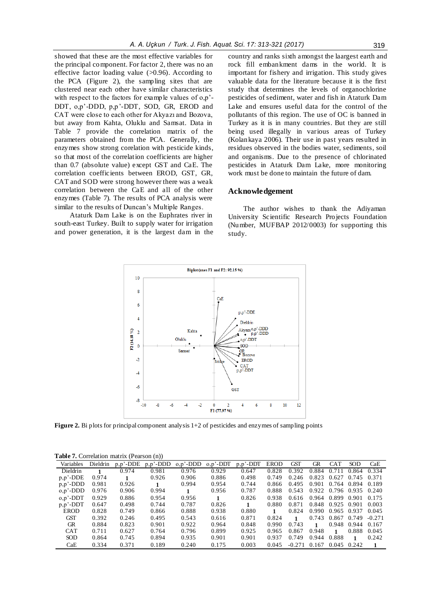showed that these are the most effective variables for the principal component. For factor 2, there was no an effective factor loading value  $(>0.96)$ . According to

the PCA (Figure 2), the sampling sites that are clustered near each other have similar characteristics with respect to the factors for example values of o,p'- DDT, o,p'-DDD, p,p'-DDT, SOD, GR, EROD and CAT were close to each other for Akyazı and Bozova, but away from Kahta, Oluklu and Samsat. Data in Table 7 provide the correlation matrix of the parameters obtained from the PCA. Generally, the enzymes show strong corelation with pesticide kinds, so that most of the correlation coefficients are higher than 0.7 (absolute value) except GST and CaE. The correlation coefficients between EROD, GST, GR, CAT and SOD were strong however there was a weak correlation between the CaE and all of the other enzymes (Table 7). The results of PCA analysis were similar to the results of Duncan's Multiple Ranges.

Ataturk Dam Lake is on the Euphrates river in south-east Turkey. Built to supply water for irrigation and power generation, it is the largest dam in the country and ranks sixth amongst the laargest earth and rock fill embankment dams in the world. It is important for fishery and irrigation. This study gives valuable data for the literature because it is the first study that determines the levels of organochlorine pesticides of sediment, water and fish in Ataturk Dam Lake and ensures useful data for the control of the pollutants of this region. The use of OC is banned in Turkey as it is in many countries. But they are still being used illegally in various areas of Turkey (Kolankaya 2006). Their use in past years resulted in residues observed in the bodies water, sediments, soil and organisms. Due to the presence of chlorinated pesticides in Ataturk Dam Lake, more monitoring work must be done to maintain the future of dam.

## **Acknowledgement**

The author wishes to thank the Adiyaman University Scientific Research Projects Foundation (Number, MUFBAP 2012/0003) for supporting this study.



**Figure 2.** Bi plots for principal component analysis 1+2 of pesticides and enzymes of sampling points

| Variables    | Dieldrin | $p, p'$ -DDE | $p, p'$ -DDD | $o, p'$ -DDD | $0, p'$ -DDT | $p, p'$ -DDT | <b>EROD</b> | GST      | GR    | <b>CAT</b> | <b>SOD</b> | CaE          |  |
|--------------|----------|--------------|--------------|--------------|--------------|--------------|-------------|----------|-------|------------|------------|--------------|--|
| Dieldrin     |          | 0.974        | 0.981        | 0.976        | 0.929        | 0.647        | 0.828       | 0.392    | 0.884 | 0.711      | 0.864      | 0.334        |  |
| $p, p'$ -DDE | 0.974    |              | 0.926        | 0.906        | 0.886        | 0.498        | 0.749       | 0.246    | 0.823 | 0.627      | 0.745      | 0.371        |  |
| $p, p'$ -DDD | 0.981    | 0.926        |              | 0.994        | 0.954        | 0.744        | 0.866       | 0.495    | 0.901 | 0.764      | 0.894      | 0.189        |  |
| $o, p'$ -DDD | 0.976    | 0.906        | 0.994        | 1            | 0.956        | 0.787        | 0.888       | 0.543    | 0.922 | 0.796      | 0.935      | 0.240        |  |
| $0, p'$ -DDT | 0.929    | 0.886        | 0.954        | 0.956        |              | 0.826        | 0.938       | 0.616    | 0.964 | 0.899      | 0.901      | 0.175        |  |
| $p, p'$ -DDT | 0.647    | 0.498        | 0.744        | 0.787        | 0.826        |              | 0.880       | 0.871    | 0.848 | 0.925      | 0.901      | 0.003        |  |
| <b>EROD</b>  | 0.828    | 0.749        | 0.866        | 0.888        | 0.938        | 0.880        |             | 0.824    | 0.990 | 0.965      | 0.937      | 0.045        |  |
| GST          | 0.392    | 0.246        | 0.495        | 0.543        | 0.616        | 0.871        | 0.824       |          | 0.743 | 0.867      | 0.749      | $-0.271$     |  |
| GR           | 0.884    | 0.823        | 0.901        | 0.922        | 0.964        | 0.848        | 0.990       | 0.743    | 1     | 0.948      | 0.944      | 0.167        |  |
| <b>CAT</b>   | 0.711    | 0.627        | 0.764        | 0.796        | 0.899        | 0.925        | 0.965       | 0.867    | 0.948 |            | 0.888      | 0.045        |  |
| <b>SOD</b>   | 0.864    | 0.745        | 0.894        | 0.935        | 0.901        | 0.901        | 0.937       | 0.749    | 0.944 | 0.888      | 1          | 0.242        |  |
| CaE          | 0.334    | 0.371        | 0.189        | 0.240        | 0.175        | 0.003        | 0.045       | $-0.271$ | 0.167 | 0.045      | 0.242      | $\mathbf{1}$ |  |
|              |          |              |              |              |              |              |             |          |       |            |            |              |  |

**Table 7.** Correlation matrix (Pearson (n))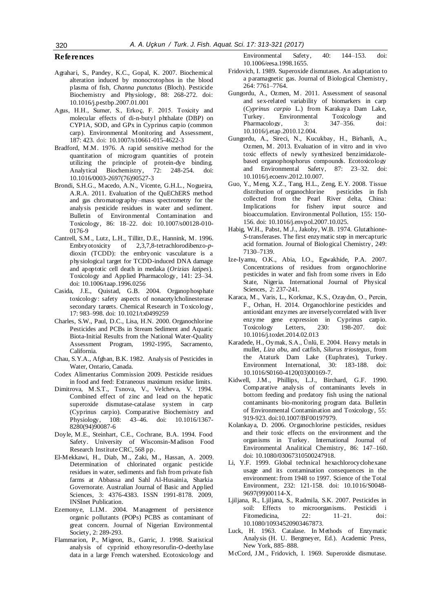#### **References**

- Agrahari, S., Pandey, K.C., Gopal, K. 2007. Biochemical alteration induced by monocrotophos in the blood plasma of fish, *Channa punctatus* (Bloch). Pesticide Biochemistry and Physiology, 88: 268-272. doi: 10.1016/j.pestbp.2007.01.001
- Agus, H.H., Sumer, S., Erkoç, F. 2015. Toxicity and molecular effects of di-n-butyl phthalate (DBP) on CYP1A, SOD, and GPx in Cyprinus carpio (common carp). Environmental Monitoring and Assessment, 187: 423. doi: 10.1007/s10661-015-4622-3
- Bradford, M.M. 1976. A rapid sensitive method for the quantitation of microgram quantities of protein utilizing the principle of protein-dye binding. Analytical Biochemistry, 72: 248-254. doi: 10.1016/0003-2697(76)90527-3
- Brondi, S.H.G., Macedo, A.N., Vicente, G.H.L., Nogueira, A.R.A. 2011. Evaluation of the QuEChERS method and gas chromatography–mass spectrometry for the analysis pesticide residues in water and sediment. Bulletin of Environmental Contamination and Toxicology, 86: 18–22. doi: 10.1007/s00128-010- 0176-9
- Cantrell, S.M., Lutz, L.H., Tillitt, D.E., Hannink, M. 1996. Embryotoxicity of 2,3,7,8-tetrachlorodibenzo-*p*dioxin (TCDD): the embryonic vasculature is a physiological target for TCDD-induced DNA damage and apoptotic cell death in medaka (*Orizias latipes*). Toxicology and Applied Pharmacology, 141: 23–34. doi: 10.1006/taap.1996.0256
- Casida, J.E., Quistad, G.B. 2004. Organophosphate toxicology: safety aspects of nonacetylcholinesterase secondary targets. Chemical Research in Toxicology, 17: 983–998. doi: 10.1021/tx0499259
- Charles, S.W., Paul, D.C., Lisa, H.N. 2000. Organochlorine Pesticides and PCBs in Stream Sediment and Aquatic Biota-Initial Results from the National Water-Quality Assessment Program, 1992-1995, Sacramento, California.
- Chau, S.Y.A., Afghan, B.K. 1982. Analysis of Pesticides in Water, Ontario, Canada.
- Codex Alimentarius Commission 2009. Pesticide residues in food and feed: Extraneous maximum residue limits.
- Dimitrova, M.S.T., Tsnova, V., Velcheva, V. 1994. Combined effect of zinc and lead on the hepatic superoxide dismutase-catalase system in carp (Cyprinus carpio). Comparative Biochemistry and Physiology, 108: 43–46. doi: 10.1016/1367- 8280(94)90087-6
- Doyle, M.E., Steinhart, C.E., Cochrane, B.A. 1994. Food Safety. University of Wisconsin-Madison Food Research Institute CRC, 568 pp.
- El-Mekkawi, H., Diab, M., Zaki, M., Hassan, A. 2009. Determination of chlorinated organic pesticide residues in water, sediments and fish from private fish farms at Abbassa and Sahl Al-Husainia, Sharkia Governorate*.* Australian Journal of Basic and Applied Sciences, 3: 4376-4383. ISSN 1991-8178. 2009, INSInet Publication.
- Ezemonye, L.I.M. 2004. Management of persistence organic pollutants (POPs) PCBS as contaminant of great concern. Journal of Nigerian Environmental Society, 2: 289-293.
- Flammarion, P., Migeon, B., Garric, J. 1998. Statistical analysis of cyprinid ethoxyresorufin-*O*-deethylase data in a large French watershed. Ecotoxicology and

Environmental Safety, 40: 144–153. doi: 10.1006/eesa.1998.1655.

- Fridovich, I. 1989. Superoxide dismutases. An adaptation to a paramagnetic gas. Journal of Biological Chemistry, 264: 7761–7764.
- Gungordu, A., Ozmen, M. 2011. Assessment of seasonal and sex-related variability of biomarkers in carp (*Cyprinus carpio* L.) from Karakaya Dam Lake, Turkey. Environmental Toxicology and<br>Pharmacology. 3: 347–356. doi: Pharmacology, 3: 347–356. doi: 10.1016/j.etap.2010.12.004.
- Gungordu, A., Sireci, N., Kucukbay, H., Birhanli, A., Ozmen, M. 2013. Evaluation of in vitro and in vivo toxic effects of newly synthesized benzimidazolebased organophosphorus compounds. Ecotoxicology and Environmental Safety, 87: 23–32. doi: 10.1016/j.ecoenv.2012.10.007.
- Guo, Y., Meng, X.Z., Tang, H.L., Zeng, E.Y. 2008. Tissue distribution of organochlorine pesticides in fish collected from the Pearl River delta, China: Implications for fishery input source and bioaccumulation. Environmental Pollution, 155: 150- 156. doi: 10.1016/j.envpol.2007.10.025.
- Habig, W.H., Pabst, M.J., Jakoby, W.B. 1974. Glutathione-*S*-transferases. The first enzymatic step in mercapturic acid formation. Journal of Biological Chemistry, 249: 7130–7139.
- Ize-Iyamu, O.K., Abia, I.O., Egwakhide, P.A. 2007. Concentrations of residues from organochlorine pesticides in water and fish from some rivers in Edo State, Nigeria. International Journal of Physical Sciences, 2: 237-241.
- Karaca, M., Varis, L., Korkmaz, K.S., Ozaydın, O., Percin, F., Orhan, H. 2014. Organochlorine pesticides and antioxidant enzymes are inverselycorrelated with liver enzyme gene expression in Cyprinus carpio. Toxicology Letters, 230: 198-207. doi: 10.1016/j.toxlet.2014.02.013
- Karadede, H., Oymak, S.A., Ünlü, E. 2004. Heavy metals in mullet, *Liza abu*, and catfish, *Silurus triostegus*, from the Ataturk Dam Lake (Euphrates), Turkey. Environment International, 30: 183-188. doi: 10.1016/S0160-4120(03)00169-7.
- Kidwell, J.M., Phillips, L.J., Birchard, G.F. 1990. Comparative analysis of contaminants levels in bottom feeding and predatory fish using the national contaminants bio-monitoring program data. Bulletin of Environmental Contamination and Toxicology, 55: 919-923. doi:10.1007/BF00197979.
- Kolankaya, D. 2006. Organochlorine pesticides, residues and their toxic effects on the environment and the organisms in Turkey. International Journal of Environmental Analitical Chemistry, 86: 147–160. doi: 10.1080/03067310500247918.
- Li, Y.F. 1999. Global technical hexachlorocyclohexane usage and its contamination consequences in the environment: from 1948 to 1997. Science of the Total Environment, 232: 121-158. doi: 10.1016/S0048- 9697(99)00114-X.
- Ljiljana, R., Ljiljana, S., Radmila, S.K. 2007. Pesticides in soil: Effects to microorganisms. Pesticidi i Fitomedicina, 22: 11–21. doi: 10.1080/10934520903467873.
- Luck, H. 1963. Catalase. In Methods of Enzymatic Analysis (H. U. Bergmeyer, Ed.). Academic Press, New York, 885–888.
- McCord, J.M., Fridovich, I. 1969. Superoxide dismutase.